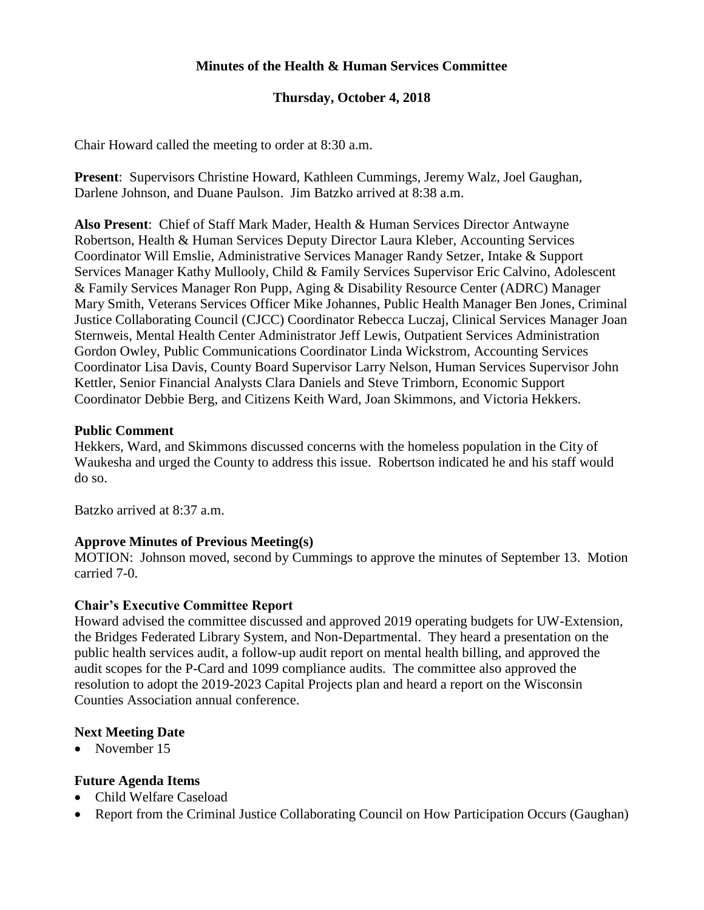# **Minutes of the Health & Human Services Committee**

# **Thursday, October 4, 2018**

Chair Howard called the meeting to order at 8:30 a.m.

**Present**: Supervisors Christine Howard, Kathleen Cummings, Jeremy Walz, Joel Gaughan, Darlene Johnson, and Duane Paulson. Jim Batzko arrived at 8:38 a.m.

**Also Present**: Chief of Staff Mark Mader, Health & Human Services Director Antwayne Robertson, Health & Human Services Deputy Director Laura Kleber, Accounting Services Coordinator Will Emslie, Administrative Services Manager Randy Setzer, Intake & Support Services Manager Kathy Mullooly, Child & Family Services Supervisor Eric Calvino, Adolescent & Family Services Manager Ron Pupp, Aging & Disability Resource Center (ADRC) Manager Mary Smith, Veterans Services Officer Mike Johannes, Public Health Manager Ben Jones, Criminal Justice Collaborating Council (CJCC) Coordinator Rebecca Luczaj, Clinical Services Manager Joan Sternweis, Mental Health Center Administrator Jeff Lewis, Outpatient Services Administration Gordon Owley, Public Communications Coordinator Linda Wickstrom, Accounting Services Coordinator Lisa Davis, County Board Supervisor Larry Nelson, Human Services Supervisor John Kettler, Senior Financial Analysts Clara Daniels and Steve Trimborn, Economic Support Coordinator Debbie Berg, and Citizens Keith Ward, Joan Skimmons, and Victoria Hekkers.

#### **Public Comment**

Hekkers, Ward, and Skimmons discussed concerns with the homeless population in the City of Waukesha and urged the County to address this issue. Robertson indicated he and his staff would do so.

Batzko arrived at 8:37 a.m.

#### **Approve Minutes of Previous Meeting(s)**

MOTION: Johnson moved, second by Cummings to approve the minutes of September 13. Motion carried 7-0.

#### **Chair's Executive Committee Report**

Howard advised the committee discussed and approved 2019 operating budgets for UW-Extension, the Bridges Federated Library System, and Non-Departmental. They heard a presentation on the public health services audit, a follow-up audit report on mental health billing, and approved the audit scopes for the P-Card and 1099 compliance audits. The committee also approved the resolution to adopt the 2019-2023 Capital Projects plan and heard a report on the Wisconsin Counties Association annual conference.

#### **Next Meeting Date**

• November 15

#### **Future Agenda Items**

- Child Welfare Caseload
- Report from the Criminal Justice Collaborating Council on How Participation Occurs (Gaughan)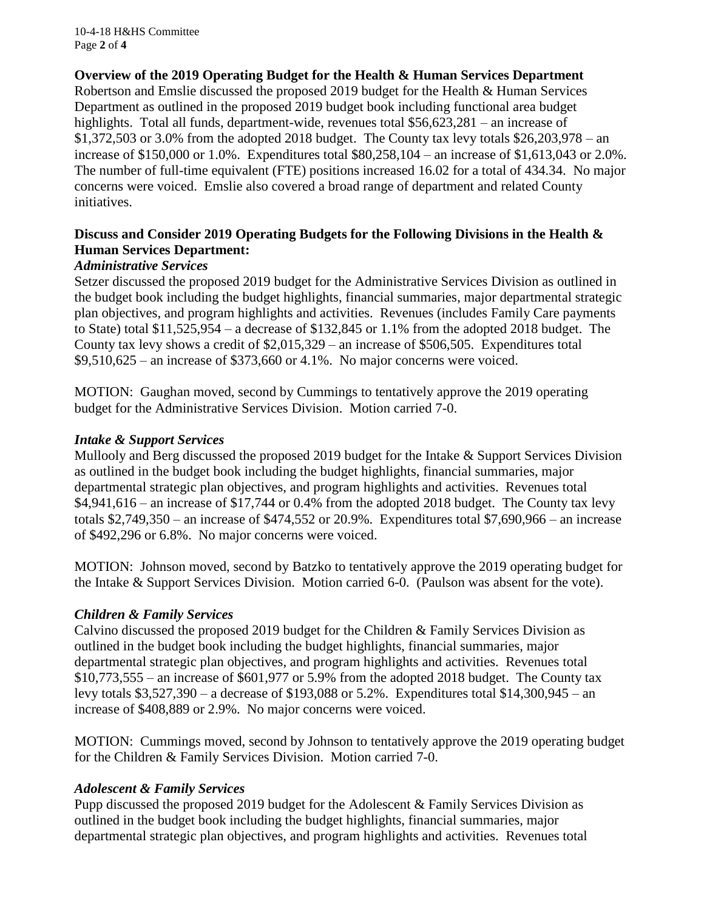10-4-18 H&HS Committee Page **2** of **4**

# **Overview of the 2019 Operating Budget for the Health & Human Services Department**

Robertson and Emslie discussed the proposed 2019 budget for the Health & Human Services Department as outlined in the proposed 2019 budget book including functional area budget highlights. Total all funds, department-wide, revenues total \$56,623,281 – an increase of \$1,372,503 or 3.0% from the adopted 2018 budget. The County tax levy totals \$26,203,978 – an increase of \$150,000 or 1.0%. Expenditures total \$80,258,104 – an increase of \$1,613,043 or 2.0%. The number of full-time equivalent (FTE) positions increased 16.02 for a total of 434.34. No major concerns were voiced. Emslie also covered a broad range of department and related County initiatives.

# **Discuss and Consider 2019 Operating Budgets for the Following Divisions in the Health & Human Services Department:**

#### *Administrative Services*

Setzer discussed the proposed 2019 budget for the Administrative Services Division as outlined in the budget book including the budget highlights, financial summaries, major departmental strategic plan objectives, and program highlights and activities. Revenues (includes Family Care payments to State) total \$11,525,954 – a decrease of \$132,845 or 1.1% from the adopted 2018 budget. The County tax levy shows a credit of \$2,015,329 – an increase of \$506,505. Expenditures total \$9,510,625 – an increase of \$373,660 or 4.1%. No major concerns were voiced.

MOTION: Gaughan moved, second by Cummings to tentatively approve the 2019 operating budget for the Administrative Services Division. Motion carried 7-0.

### *Intake & Support Services*

Mullooly and Berg discussed the proposed 2019 budget for the Intake & Support Services Division as outlined in the budget book including the budget highlights, financial summaries, major departmental strategic plan objectives, and program highlights and activities. Revenues total  $$4,941,616$  – an increase of \$17,744 or 0.4% from the adopted 2018 budget. The County tax levy totals \$2,749,350 – an increase of \$474,552 or 20.9%. Expenditures total \$7,690,966 – an increase of \$492,296 or 6.8%. No major concerns were voiced.

MOTION: Johnson moved, second by Batzko to tentatively approve the 2019 operating budget for the Intake & Support Services Division. Motion carried 6-0. (Paulson was absent for the vote).

# *Children & Family Services*

Calvino discussed the proposed 2019 budget for the Children & Family Services Division as outlined in the budget book including the budget highlights, financial summaries, major departmental strategic plan objectives, and program highlights and activities. Revenues total \$10,773,555 – an increase of \$601,977 or 5.9% from the adopted 2018 budget. The County tax levy totals \$3,527,390 – a decrease of \$193,088 or 5.2%. Expenditures total \$14,300,945 – an increase of \$408,889 or 2.9%. No major concerns were voiced.

MOTION: Cummings moved, second by Johnson to tentatively approve the 2019 operating budget for the Children & Family Services Division. Motion carried 7-0.

# *Adolescent & Family Services*

Pupp discussed the proposed 2019 budget for the Adolescent & Family Services Division as outlined in the budget book including the budget highlights, financial summaries, major departmental strategic plan objectives, and program highlights and activities. Revenues total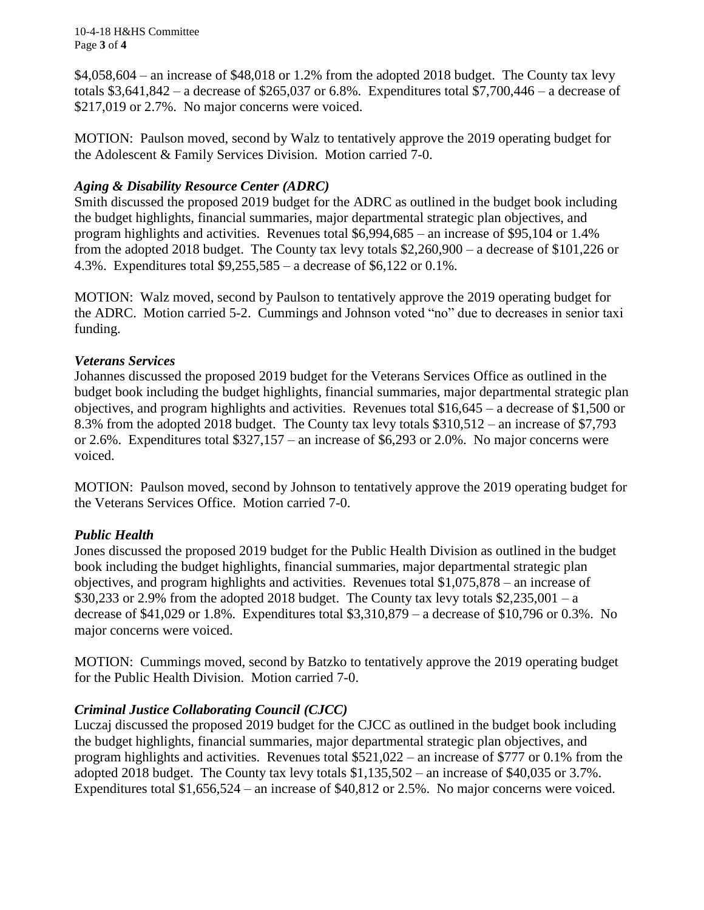10-4-18 H&HS Committee Page **3** of **4**

 $$4,058,604 -$  an increase of \$48,018 or 1.2% from the adopted 2018 budget. The County tax levy totals  $$3,641,842 - a$  decrease of  $$265,037$  or 6.8%. Expenditures total  $$7,700,446 - a$  decrease of \$217,019 or 2.7%. No major concerns were voiced.

MOTION: Paulson moved, second by Walz to tentatively approve the 2019 operating budget for the Adolescent & Family Services Division. Motion carried 7-0.

# *Aging & Disability Resource Center (ADRC)*

Smith discussed the proposed 2019 budget for the ADRC as outlined in the budget book including the budget highlights, financial summaries, major departmental strategic plan objectives, and program highlights and activities. Revenues total \$6,994,685 – an increase of \$95,104 or 1.4% from the adopted 2018 budget. The County tax levy totals \$2,260,900 – a decrease of \$101,226 or 4.3%. Expenditures total \$9,255,585 – a decrease of \$6,122 or 0.1%.

MOTION: Walz moved, second by Paulson to tentatively approve the 2019 operating budget for the ADRC. Motion carried 5-2. Cummings and Johnson voted "no" due to decreases in senior taxi funding.

# *Veterans Services*

Johannes discussed the proposed 2019 budget for the Veterans Services Office as outlined in the budget book including the budget highlights, financial summaries, major departmental strategic plan objectives, and program highlights and activities. Revenues total \$16,645 – a decrease of \$1,500 or 8.3% from the adopted 2018 budget. The County tax levy totals \$310,512 – an increase of \$7,793 or 2.6%. Expenditures total \$327,157 – an increase of \$6,293 or 2.0%. No major concerns were voiced.

MOTION: Paulson moved, second by Johnson to tentatively approve the 2019 operating budget for the Veterans Services Office. Motion carried 7-0.

# *Public Health*

Jones discussed the proposed 2019 budget for the Public Health Division as outlined in the budget book including the budget highlights, financial summaries, major departmental strategic plan objectives, and program highlights and activities. Revenues total \$1,075,878 – an increase of \$30,233 or 2.9% from the adopted 2018 budget. The County tax levy totals  $$2,235,001 - a$ decrease of \$41,029 or 1.8%. Expenditures total \$3,310,879 – a decrease of \$10,796 or 0.3%. No major concerns were voiced.

MOTION: Cummings moved, second by Batzko to tentatively approve the 2019 operating budget for the Public Health Division. Motion carried 7-0.

# *Criminal Justice Collaborating Council (CJCC)*

Luczaj discussed the proposed 2019 budget for the CJCC as outlined in the budget book including the budget highlights, financial summaries, major departmental strategic plan objectives, and program highlights and activities. Revenues total \$521,022 – an increase of \$777 or 0.1% from the adopted 2018 budget. The County tax levy totals \$1,135,502 – an increase of \$40,035 or 3.7%. Expenditures total \$1,656,524 – an increase of \$40,812 or 2.5%. No major concerns were voiced.